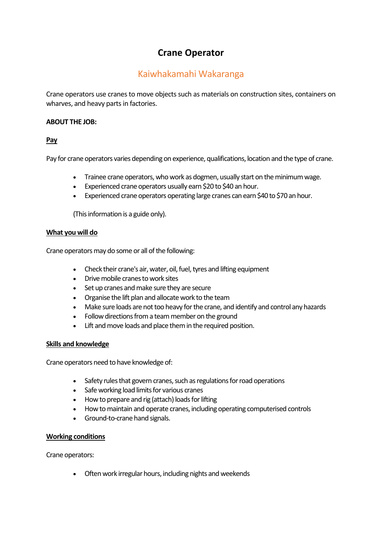# **Crane Operator**

## Kaiwhakamahi Wakaranga

Crane operators use cranes to move objects such as materials on construction sites, containers on wharves, and heavy parts in factories.

#### **ABOUT THE JOB:**

## **Pay**

Pay for crane operators varies depending on experience, qualifications, location and the type of crane.

- Trainee crane operators, who work as dogmen, usually start on the minimum wage.
- Experienced crane operators usually earn \$20 to \$40 an hour.
- Experienced crane operators operating large cranes can earn \$40 to \$70 an hour.

(This information is a guide only).

#### **What you will do**

Crane operators may do some or all of the following:

- Check their crane's air, water, oil, fuel, tyres and lifting equipment
- Drive mobile cranes to work sites
- Set up cranes and make sure they are secure
- Organise the lift plan and allocate work to the team
- Make sure loads are not too heavy for the crane, and identify and control any hazards
- Follow directions from a team member on the ground
- Lift and move loads and place them in the required position.

#### **Skills and knowledge**

Crane operators need to have knowledge of:

- Safety rules that govern cranes, such as regulations for road operations
- Safe working load limits for various cranes
- How to prepare and rig (attach) loads for lifting
- How to maintain and operate cranes, including operating computerised controls
- Ground-to-crane hand signals.

#### **Working conditions**

Crane operators:

Often work irregular hours, including nights and weekends